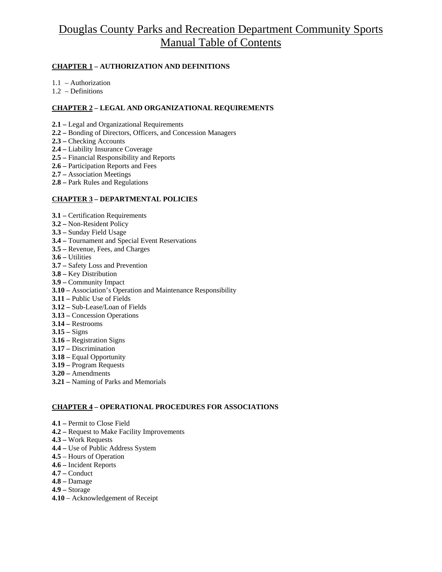# Douglas County Parks and Recreation Department Community Sports Manual Table of Contents

#### **CHAPTER 1 – AUTHORIZATION AND DEFINITIONS**

- 1.1 Authorization
- 1.2 Definitions

#### **CHAPTER 2 – LEGAL AND ORGANIZATIONAL REQUIREMENTS**

- **2.1** Legal and Organizational Requirements
- **2.2** Bonding of Directors, Officers, and Concession Managers
- **2.3** Checking Accounts
- **2.4** Liability Insurance Coverage
- **2.5** Financial Responsibility and Reports
- **2.6** Participation Reports and Fees
- **2.7** Association Meetings
- **2.8** Park Rules and Regulations

#### **CHAPTER 3 – DEPARTMENTAL POLICIES**

- **3.1** Certification Requirements
- **3.2** Non-Resident Policy
- **3.3 –** Sunday Field Usage
- **3.4** Tournament and Special Event Reservations
- **3.5** Revenue, Fees, and Charges
- **3.6** Utilities
- **3.7** Safety Loss and Prevention
- **3.8** Key Distribution
- **3.9** Community Impact
- **3.10** Association's Operation and Maintenance Responsibility
- **3.11** Public Use of Fields
- **3.12** Sub-Lease/Loan of Fields
- **3.13** Concession Operations
- **3.14** Restrooms
- **3.15** Signs
- **3.16** Registration Signs
- **3.17** Discrimination
- **3.18** Equal Opportunity
- **3.19** Program Requests
- **3.20** Amendments
- **3.21** Naming of Parks and Memorials

#### **CHAPTER 4 – OPERATIONAL PROCEDURES FOR ASSOCIATIONS**

- **4.1** Permit to Close Field
- **4.2** Request to Make Facility Improvements
- **4.3** Work Requests
- **4.4** Use of Public Address System
- **4.5**  Hours of Operation
- **4.6** Incident Reports
- **4.7** Conduct
- **4.8** Damage
- **4.9** Storage
- **4.10**  Acknowledgement of Receipt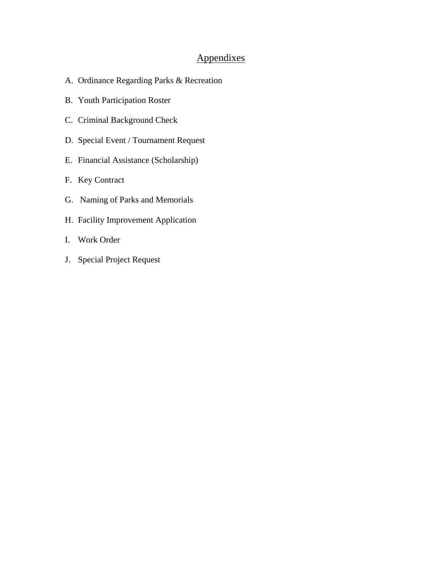# Appendixes

- A. Ordinance Regarding Parks & Recreation
- B. Youth Participation Roster
- C. Criminal Background Check
- D. Special Event / Tournament Request
- E. Financial Assistance (Scholarship)
- F. Key Contract
- G. Naming of Parks and Memorials
- H. Facility Improvement Application
- I. Work Order
- J. Special Project Request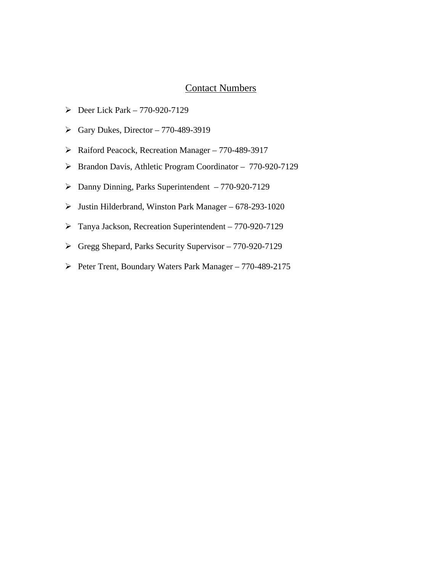# Contact Numbers

- $\blacktriangleright$  Deer Lick Park 770-920-7129
- $\blacktriangleright$  Gary Dukes, Director 770-489-3919
- ¾ Raiford Peacock, Recreation Manager 770-489-3917
- ¾ Brandon Davis, Athletic Program Coordinator 770-920-7129
- ¾ Danny Dinning, Parks Superintendent 770-920-7129
- $\blacktriangleright$  Justin Hilderbrand, Winston Park Manager 678-293-1020
- ¾ Tanya Jackson, Recreation Superintendent 770-920-7129
- ¾ Gregg Shepard, Parks Security Supervisor 770-920-7129
- ¾ Peter Trent, Boundary Waters Park Manager 770-489-2175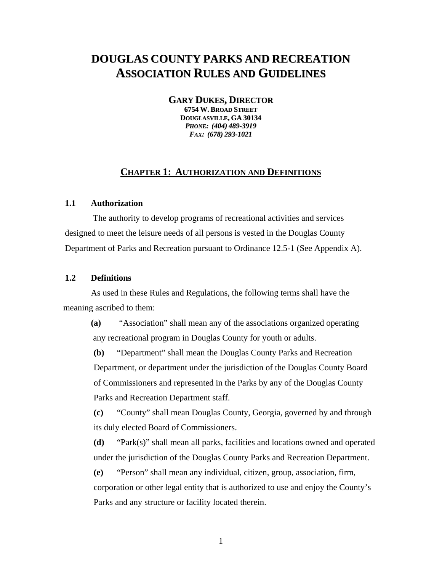# **DOUGLAS COUNTY PARKS AND RECREATION ASSOCIATION RULES AND GUIDELINES**

**GARY DUKES, DIRECTOR**

**6754 W. BROAD STREET DOUGLASVILLE, GA 30134** *PHONE: (404) 489-3919 FAX: (678) 293-1021*

### **CHAPTER 1: AUTHORIZATION AND DEFINITIONS**

#### **1.1 Authorization**

 The authority to develop programs of recreational activities and services designed to meet the leisure needs of all persons is vested in the Douglas County Department of Parks and Recreation pursuant to Ordinance 12.5-1 (See Appendix A).

### **1.2 Definitions**

 As used in these Rules and Regulations, the following terms shall have the meaning ascribed to them:

**(a)** "Association" shall mean any of the associations organized operating any recreational program in Douglas County for youth or adults.

**(b)** "Department" shall mean the Douglas County Parks and Recreation Department, or department under the jurisdiction of the Douglas County Board of Commissioners and represented in the Parks by any of the Douglas County Parks and Recreation Department staff.

**(c)** "County" shall mean Douglas County, Georgia, governed by and through its duly elected Board of Commissioners.

**(d)** "Park(s)" shall mean all parks, facilities and locations owned and operated under the jurisdiction of the Douglas County Parks and Recreation Department.

**(e)** "Person" shall mean any individual, citizen, group, association, firm, corporation or other legal entity that is authorized to use and enjoy the County's Parks and any structure or facility located therein.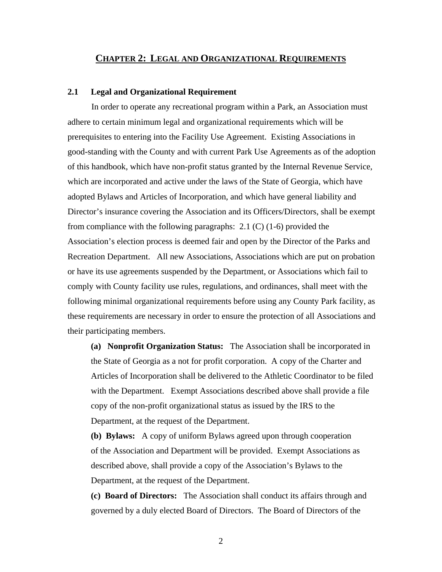## **CHAPTER 2: LEGAL AND ORGANIZATIONAL REQUIREMENTS**

#### **2.1 Legal and Organizational Requirement**

 In order to operate any recreational program within a Park, an Association must adhere to certain minimum legal and organizational requirements which will be prerequisites to entering into the Facility Use Agreement. Existing Associations in good-standing with the County and with current Park Use Agreements as of the adoption of this handbook, which have non-profit status granted by the Internal Revenue Service, which are incorporated and active under the laws of the State of Georgia, which have adopted Bylaws and Articles of Incorporation, and which have general liability and Director's insurance covering the Association and its Officers/Directors, shall be exempt from compliance with the following paragraphs: 2.1 (C) (1-6) provided the Association's election process is deemed fair and open by the Director of the Parks and Recreation Department. All new Associations, Associations which are put on probation or have its use agreements suspended by the Department, or Associations which fail to comply with County facility use rules, regulations, and ordinances, shall meet with the following minimal organizational requirements before using any County Park facility, as these requirements are necessary in order to ensure the protection of all Associations and their participating members.

**(a) Nonprofit Organization Status:** The Association shall be incorporated in the State of Georgia as a not for profit corporation. A copy of the Charter and Articles of Incorporation shall be delivered to the Athletic Coordinator to be filed with the Department. Exempt Associations described above shall provide a file copy of the non-profit organizational status as issued by the IRS to the Department, at the request of the Department.

**(b) Bylaws:** A copy of uniform Bylaws agreed upon through cooperation of the Association and Department will be provided. Exempt Associations as described above, shall provide a copy of the Association's Bylaws to the Department, at the request of the Department.

**(c) Board of Directors:** The Association shall conduct its affairs through and governed by a duly elected Board of Directors. The Board of Directors of the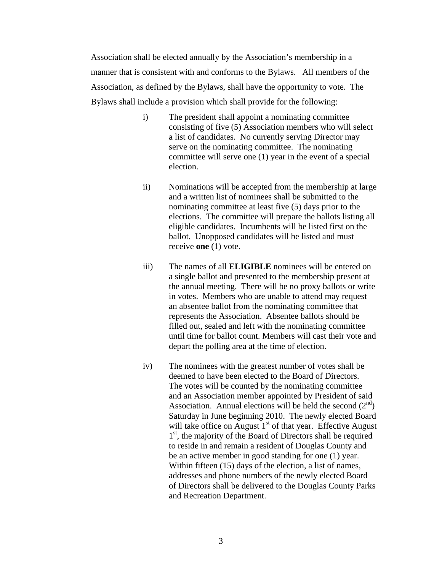Association shall be elected annually by the Association's membership in a manner that is consistent with and conforms to the Bylaws. All members of the Association, as defined by the Bylaws, shall have the opportunity to vote. The Bylaws shall include a provision which shall provide for the following:

- i) The president shall appoint a nominating committee consisting of five (5) Association members who will select a list of candidates. No currently serving Director may serve on the nominating committee. The nominating committee will serve one (1) year in the event of a special election.
- ii) Nominations will be accepted from the membership at large and a written list of nominees shall be submitted to the nominating committee at least five (5) days prior to the elections. The committee will prepare the ballots listing all eligible candidates. Incumbents will be listed first on the ballot. Unopposed candidates will be listed and must receive **one** (1) vote.
- iii) The names of all **ELIGIBLE** nominees will be entered on a single ballot and presented to the membership present at the annual meeting. There will be no proxy ballots or write in votes. Members who are unable to attend may request an absentee ballot from the nominating committee that represents the Association. Absentee ballots should be filled out, sealed and left with the nominating committee until time for ballot count. Members will cast their vote and depart the polling area at the time of election.
- iv) The nominees with the greatest number of votes shall be deemed to have been elected to the Board of Directors. The votes will be counted by the nominating committee and an Association member appointed by President of said Association. Annual elections will be held the second  $(2<sup>nd</sup>)$ Saturday in June beginning 2010. The newly elected Board will take office on August  $1<sup>st</sup>$  of that year. Effective August 1<sup>st</sup>, the majority of the Board of Directors shall be required to reside in and remain a resident of Douglas County and be an active member in good standing for one (1) year. Within fifteen (15) days of the election, a list of names, addresses and phone numbers of the newly elected Board of Directors shall be delivered to the Douglas County Parks and Recreation Department.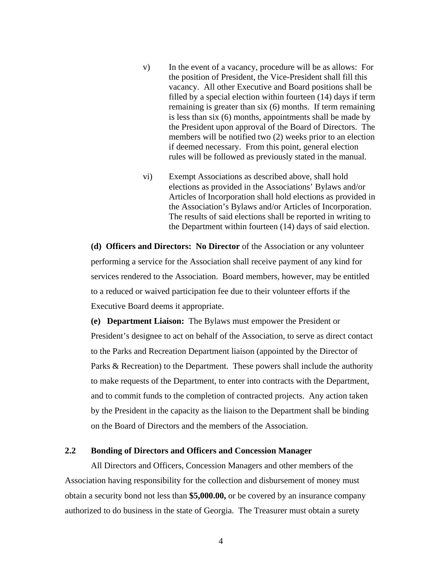- v) In the event of a vacancy, procedure will be as allows: For the position of President, the Vice-President shall fill this vacancy. All other Executive and Board positions shall be filled by a special election within fourteen (14) days if term remaining is greater than six (6) months. If term remaining is less than six (6) months, appointments shall be made by the President upon approval of the Board of Directors. The members will be notified two (2) weeks prior to an election if deemed necessary. From this point, general election rules will be followed as previously stated in the manual.
- vi) Exempt Associations as described above, shall hold elections as provided in the Associations' Bylaws and/or Articles of Incorporation shall hold elections as provided in the Association's Bylaws and/or Articles of Incorporation. The results of said elections shall be reported in writing to the Department within fourteen (14) days of said election.

**(d) Officers and Directors: No Director** of the Association or any volunteer performing a service for the Association shall receive payment of any kind for services rendered to the Association. Board members, however, may be entitled to a reduced or waived participation fee due to their volunteer efforts if the Executive Board deems it appropriate.

**(e) Department Liaison:** The Bylaws must empower the President or President's designee to act on behalf of the Association, to serve as direct contact to the Parks and Recreation Department liaison (appointed by the Director of Parks & Recreation) to the Department. These powers shall include the authority to make requests of the Department, to enter into contracts with the Department, and to commit funds to the completion of contracted projects. Any action taken by the President in the capacity as the liaison to the Department shall be binding on the Board of Directors and the members of the Association.

#### **2.2 Bonding of Directors and Officers and Concession Manager**

All Directors and Officers, Concession Managers and other members of the Association having responsibility for the collection and disbursement of money must obtain a security bond not less than **\$5,000.00,** or be covered by an insurance company authorized to do business in the state of Georgia. The Treasurer must obtain a surety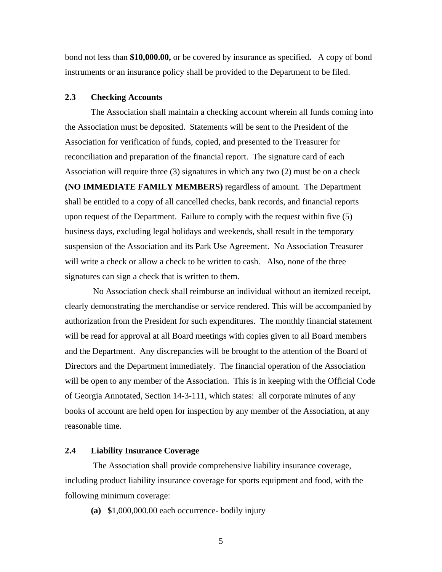bond not less than **\$10,000.00,** or be covered by insurance as specified**.** A copy of bond instruments or an insurance policy shall be provided to the Department to be filed.

### **2.3 Checking Accounts**

The Association shall maintain a checking account wherein all funds coming into the Association must be deposited. Statements will be sent to the President of the Association for verification of funds, copied, and presented to the Treasurer for reconciliation and preparation of the financial report. The signature card of each Association will require three (3) signatures in which any two (2) must be on a check **(NO IMMEDIATE FAMILY MEMBERS)** regardless of amount. The Department shall be entitled to a copy of all cancelled checks, bank records, and financial reports upon request of the Department. Failure to comply with the request within five (5) business days, excluding legal holidays and weekends, shall result in the temporary suspension of the Association and its Park Use Agreement. No Association Treasurer will write a check or allow a check to be written to cash. Also, none of the three signatures can sign a check that is written to them.

 No Association check shall reimburse an individual without an itemized receipt, clearly demonstrating the merchandise or service rendered. This will be accompanied by authorization from the President for such expenditures. The monthly financial statement will be read for approval at all Board meetings with copies given to all Board members and the Department. Any discrepancies will be brought to the attention of the Board of Directors and the Department immediately. The financial operation of the Association will be open to any member of the Association. This is in keeping with the Official Code of Georgia Annotated, Section 14-3-111, which states: all corporate minutes of any books of account are held open for inspection by any member of the Association, at any reasonable time.

#### **2.4 Liability Insurance Coverage**

 The Association shall provide comprehensive liability insurance coverage, including product liability insurance coverage for sports equipment and food, with the following minimum coverage:

**(a) \$**1,000,000.00 each occurrence- bodily injury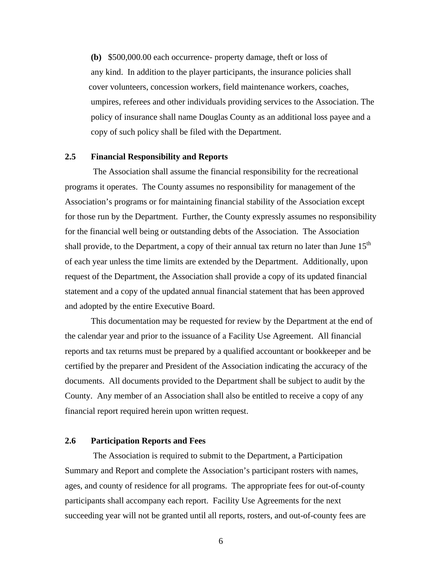**(b)** \$500,000.00 each occurrence- property damage, theft or loss of any kind. In addition to the player participants, the insurance policies shall cover volunteers, concession workers, field maintenance workers, coaches, umpires, referees and other individuals providing services to the Association. The policy of insurance shall name Douglas County as an additional loss payee and a copy of such policy shall be filed with the Department.

#### **2.5 Financial Responsibility and Reports**

 The Association shall assume the financial responsibility for the recreational programs it operates. The County assumes no responsibility for management of the Association's programs or for maintaining financial stability of the Association except for those run by the Department. Further, the County expressly assumes no responsibility for the financial well being or outstanding debts of the Association.The Association shall provide, to the Department, a copy of their annual tax return no later than June  $15<sup>th</sup>$ of each year unless the time limits are extended by the Department. Additionally, upon request of the Department, the Association shall provide a copy of its updated financial statement and a copy of the updated annual financial statement that has been approved and adopted by the entire Executive Board.

This documentation may be requested for review by the Department at the end of the calendar year and prior to the issuance of a Facility Use Agreement. All financial reports and tax returns must be prepared by a qualified accountant or bookkeeper and be certified by the preparer and President of the Association indicating the accuracy of the documents. All documents provided to the Department shall be subject to audit by the County. Any member of an Association shall also be entitled to receive a copy of any financial report required herein upon written request.

#### **2.6 Participation Reports and Fees**

The Association is required to submit to the Department, a Participation Summary and Report and complete the Association's participant rosters with names, ages, and county of residence for all programs. The appropriate fees for out-of-county participants shall accompany each report. Facility Use Agreements for the next succeeding year will not be granted until all reports, rosters, and out-of-county fees are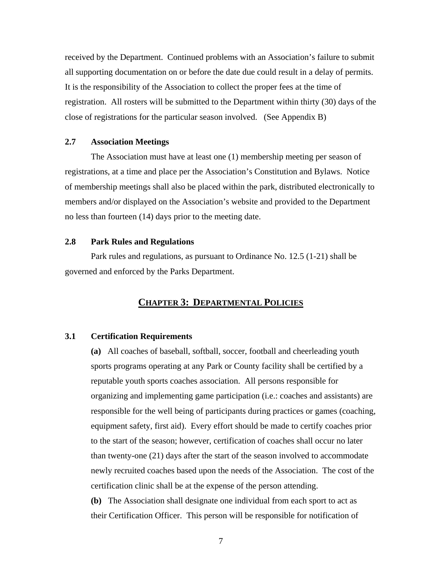received by the Department. Continued problems with an Association's failure to submit all supporting documentation on or before the date due could result in a delay of permits. It is the responsibility of the Association to collect the proper fees at the time of registration. All rosters will be submitted to the Department within thirty (30) days of the close of registrations for the particular season involved. (See Appendix B)

#### **2.7 Association Meetings**

The Association must have at least one (1) membership meeting per season of registrations, at a time and place per the Association's Constitution and Bylaws. Notice of membership meetings shall also be placed within the park, distributed electronically to members and/or displayed on the Association's website and provided to the Department no less than fourteen (14) days prior to the meeting date.

#### **2.8 Park Rules and Regulations**

Park rules and regulations, as pursuant to Ordinance No. 12.5 (1-21) shall be governed and enforced by the Parks Department.

## **CHAPTER 3: DEPARTMENTAL POLICIES**

#### **3.1 Certification Requirements**

**(a)** All coaches of baseball, softball, soccer, football and cheerleading youth sports programs operating at any Park or County facility shall be certified by a reputable youth sports coaches association. All persons responsible for organizing and implementing game participation (i.e.: coaches and assistants) are responsible for the well being of participants during practices or games (coaching, equipment safety, first aid). Every effort should be made to certify coaches prior to the start of the season; however, certification of coaches shall occur no later than twenty-one (21) days after the start of the season involved to accommodate newly recruited coaches based upon the needs of the Association. The cost of the certification clinic shall be at the expense of the person attending.

**(b)** The Association shall designate one individual from each sport to act as their Certification Officer. This person will be responsible for notification of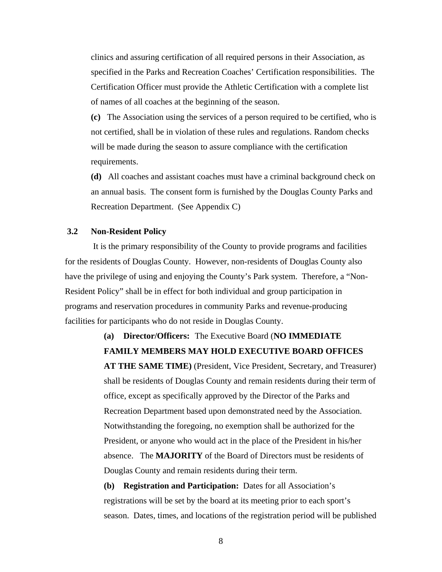clinics and assuring certification of all required persons in their Association, as specified in the Parks and Recreation Coaches' Certification responsibilities. The Certification Officer must provide the Athletic Certification with a complete list of names of all coaches at the beginning of the season.

**(c)** The Association using the services of a person required to be certified, who is not certified, shall be in violation of these rules and regulations. Random checks will be made during the season to assure compliance with the certification requirements.

**(d)** All coaches and assistant coaches must have a criminal background check on an annual basis. The consent form is furnished by the Douglas County Parks and Recreation Department. (See Appendix C)

#### **3.2 Non-Resident Policy**

 It is the primary responsibility of the County to provide programs and facilities for the residents of Douglas County. However, non-residents of Douglas County also have the privilege of using and enjoying the County's Park system. Therefore, a "Non-Resident Policy" shall be in effect for both individual and group participation in programs and reservation procedures in community Parks and revenue-producing facilities for participants who do not reside in Douglas County.

# **(a) Director/Officers:** The Executive Board (**NO IMMEDIATE FAMILY MEMBERS MAY HOLD EXECUTIVE BOARD OFFICES**

**AT THE SAME TIME)** (President, Vice President, Secretary, and Treasurer) shall be residents of Douglas County and remain residents during their term of office, except as specifically approved by the Director of the Parks and Recreation Department based upon demonstrated need by the Association. Notwithstanding the foregoing, no exemption shall be authorized for the President, or anyone who would act in the place of the President in his/her absence. The **MAJORITY** of the Board of Directors must be residents of Douglas County and remain residents during their term.

**(b) Registration and Participation:** Dates for all Association's registrations will be set by the board at its meeting prior to each sport's season. Dates, times, and locations of the registration period will be published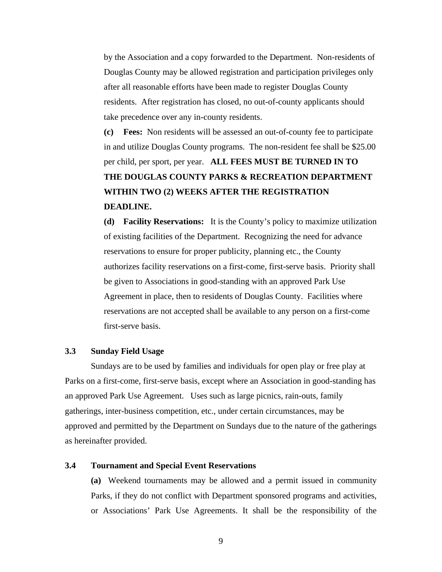by the Association and a copy forwarded to the Department. Non-residents of Douglas County may be allowed registration and participation privileges only after all reasonable efforts have been made to register Douglas County residents. After registration has closed, no out-of-county applicants should take precedence over any in-county residents.

**(c) Fees:** Non residents will be assessed an out-of-county fee to participate in and utilize Douglas County programs. The non-resident fee shall be \$25.00 per child, per sport, per year. **ALL FEES MUST BE TURNED IN TO THE DOUGLAS COUNTY PARKS & RECREATION DEPARTMENT WITHIN TWO (2) WEEKS AFTER THE REGISTRATION DEADLINE.** 

**(d) Facility Reservations:** It is the County's policy to maximize utilization of existing facilities of the Department. Recognizing the need for advance reservations to ensure for proper publicity, planning etc., the County authorizes facility reservations on a first-come, first-serve basis. Priority shall be given to Associations in good-standing with an approved Park Use Agreement in place, then to residents of Douglas County. Facilities where reservations are not accepted shall be available to any person on a first-come first-serve basis.

#### **3.3 Sunday Field Usage**

 Sundays are to be used by families and individuals for open play or free play at Parks on a first-come, first-serve basis, except where an Association in good-standing has an approved Park Use Agreement. Uses such as large picnics, rain-outs, family gatherings, inter-business competition, etc., under certain circumstances, may be approved and permitted by the Department on Sundays due to the nature of the gatherings as hereinafter provided.

#### **3.4 Tournament and Special Event Reservations**

**(a)** Weekend tournaments may be allowed and a permit issued in community Parks, if they do not conflict with Department sponsored programs and activities, or Associations' Park Use Agreements. It shall be the responsibility of the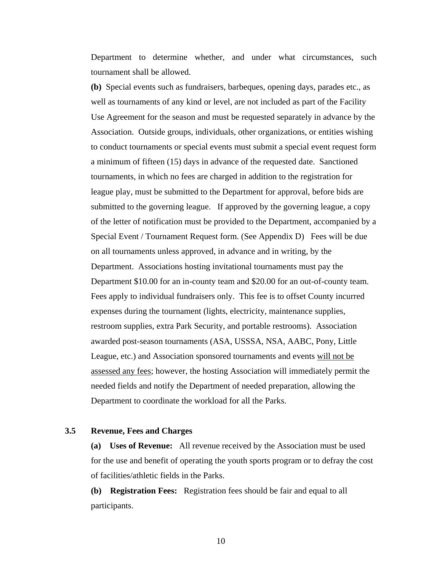Department to determine whether, and under what circumstances, such tournament shall be allowed.

**(b)** Special events such as fundraisers, barbeques, opening days, parades etc., as well as tournaments of any kind or level, are not included as part of the Facility Use Agreement for the season and must be requested separately in advance by the Association. Outside groups, individuals, other organizations, or entities wishing to conduct tournaments or special events must submit a special event request form a minimum of fifteen (15) days in advance of the requested date. Sanctioned tournaments, in which no fees are charged in addition to the registration for league play, must be submitted to the Department for approval, before bids are submitted to the governing league. If approved by the governing league, a copy of the letter of notification must be provided to the Department, accompanied by a Special Event / Tournament Request form. (See Appendix D) Fees will be due on all tournaments unless approved, in advance and in writing, by the Department. Associations hosting invitational tournaments must pay the Department \$10.00 for an in-county team and \$20.00 for an out-of-county team. Fees apply to individual fundraisers only.This fee is to offset County incurred expenses during the tournament (lights, electricity, maintenance supplies, restroom supplies, extra Park Security, and portable restrooms). Association awarded post-season tournaments (ASA, USSSA, NSA, AABC, Pony, Little League, etc.) and Association sponsored tournaments and events will not be assessed any fees; however, the hosting Association will immediately permit the needed fields and notify the Department of needed preparation, allowing the Department to coordinate the workload for all the Parks.

#### **3.5 Revenue, Fees and Charges**

**(a) Uses of Revenue:** All revenue received by the Association must be used for the use and benefit of operating the youth sports program or to defray the cost of facilities/athletic fields in the Parks.

**(b) Registration Fees:** Registration fees should be fair and equal to all participants.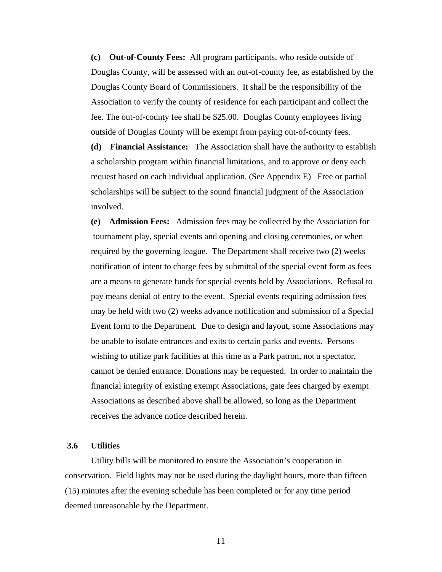**(c) Out-of-County Fees:** All program participants, who reside outside of Douglas County, will be assessed with an out-of-county fee, as established by the Douglas County Board of Commissioners. It shall be the responsibility of the Association to verify the county of residence for each participant and collect the fee. The out-of-county fee shall be \$25.00. Douglas County employees living outside of Douglas County will be exempt from paying out-of-county fees.

**(d) Financial Assistance:** The Association shall have the authority to establish a scholarship program within financial limitations, and to approve or deny each request based on each individual application. (See Appendix E) Free or partial scholarships will be subject to the sound financial judgment of the Association involved.

**(e) Admission Fees:** Admission fees may be collected by the Association for tournament play, special events and opening and closing ceremonies, or when required by the governing league. The Department shall receive two (2) weeks notification of intent to charge fees by submittal of the special event form as fees are a means to generate funds for special events held by Associations. Refusal to pay means denial of entry to the event. Special events requiring admission fees may be held with two (2) weeks advance notification and submission of a Special Event form to the Department. Due to design and layout, some Associations may be unable to isolate entrances and exits to certain parks and events. Persons wishing to utilize park facilities at this time as a Park patron, not a spectator, cannot be denied entrance. Donations may be requested. In order to maintain the financial integrity of existing exempt Associations, gate fees charged by exempt Associations as described above shall be allowed, so long as the Department receives the advance notice described herein.

#### **3.6 Utilities**

Utility bills will be monitored to ensure the Association's cooperation in conservation. Field lights may not be used during the daylight hours, more than fifteen (15) minutes after the evening schedule has been completed or for any time period deemed unreasonable by the Department.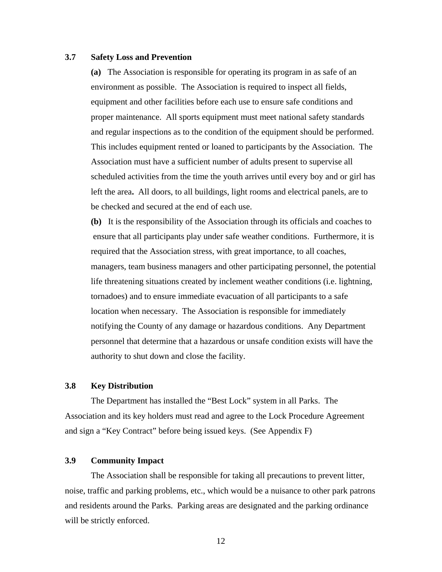#### **3.7 Safety Loss and Prevention**

**(a)** The Association is responsible for operating its program in as safe of an environment as possible. The Association is required to inspect all fields, equipment and other facilities before each use to ensure safe conditions and proper maintenance. All sports equipment must meet national safety standards and regular inspections as to the condition of the equipment should be performed. This includes equipment rented or loaned to participants by the Association. The Association must have a sufficient number of adults present to supervise all scheduled activities from the time the youth arrives until every boy and or girl has left the area**.** All doors, to all buildings, light rooms and electrical panels, are to be checked and secured at the end of each use.

**(b)** It is the responsibility of the Association through its officials and coaches to ensure that all participants play under safe weather conditions. Furthermore, it is required that the Association stress, with great importance, to all coaches, managers, team business managers and other participating personnel, the potential life threatening situations created by inclement weather conditions (i.e. lightning, tornadoes) and to ensure immediate evacuation of all participants to a safe location when necessary. The Association is responsible for immediately notifying the County of any damage or hazardous conditions. Any Department personnel that determine that a hazardous or unsafe condition exists will have the authority to shut down and close the facility.

### **3.8 Key Distribution**

The Department has installed the "Best Lock" system in all Parks. The Association and its key holders must read and agree to the Lock Procedure Agreement and sign a "Key Contract" before being issued keys. (See Appendix F)

#### **3.9 Community Impact**

The Association shall be responsible for taking all precautions to prevent litter, noise, traffic and parking problems, etc., which would be a nuisance to other park patrons and residents around the Parks. Parking areas are designated and the parking ordinance will be strictly enforced.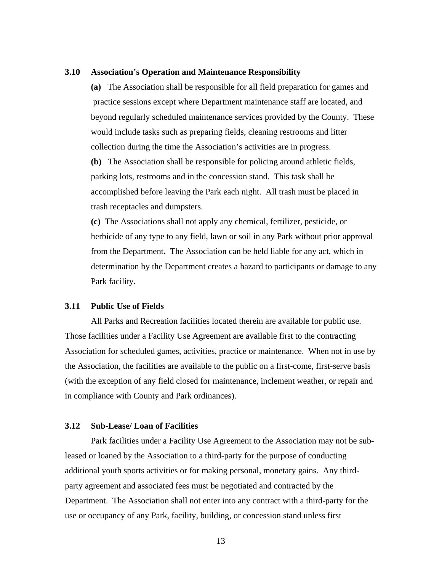#### **3.10 Association's Operation and Maintenance Responsibility**

**(a)** The Association shall be responsible for all field preparation for games and practice sessions except where Department maintenance staff are located, and beyond regularly scheduled maintenance services provided by the County. These would include tasks such as preparing fields, cleaning restrooms and litter collection during the time the Association's activities are in progress.

**(b)** The Association shall be responsible for policing around athletic fields, parking lots, restrooms and in the concession stand. This task shall be accomplished before leaving the Park each night. All trash must be placed in trash receptacles and dumpsters.

**(c)** The Associations shall not apply any chemical, fertilizer, pesticide, or herbicide of any type to any field, lawn or soil in any Park without prior approval from the Department**.** The Association can be held liable for any act, which in determination by the Department creates a hazard to participants or damage to any Park facility.

#### **3.11 Public Use of Fields**

All Parks and Recreation facilities located therein are available for public use. Those facilities under a Facility Use Agreement are available first to the contracting Association for scheduled games, activities, practice or maintenance. When not in use by the Association, the facilities are available to the public on a first-come, first-serve basis (with the exception of any field closed for maintenance, inclement weather, or repair and in compliance with County and Park ordinances).

#### **3.12 Sub-Lease/ Loan of Facilities**

Park facilities under a Facility Use Agreement to the Association may not be subleased or loaned by the Association to a third-party for the purpose of conducting additional youth sports activities or for making personal, monetary gains. Any thirdparty agreement and associated fees must be negotiated and contracted by the Department. The Association shall not enter into any contract with a third-party for the use or occupancy of any Park, facility, building, or concession stand unless first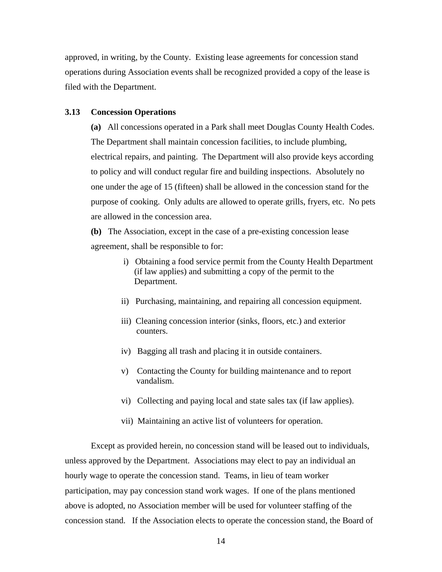approved, in writing, by the County. Existing lease agreements for concession stand operations during Association events shall be recognized provided a copy of the lease is filed with the Department.

#### **3.13 Concession Operations**

**(a)** All concessions operated in a Park shall meet Douglas County Health Codes. The Department shall maintain concession facilities, to include plumbing, electrical repairs, and painting. The Department will also provide keys according to policy and will conduct regular fire and building inspections. Absolutely no one under the age of 15 (fifteen) shall be allowed in the concession stand for the purpose of cooking. Only adults are allowed to operate grills, fryers, etc. No pets are allowed in the concession area.

**(b)** The Association, except in the case of a pre-existing concession lease agreement, shall be responsible to for:

- i) Obtaining a food service permit from the County Health Department (if law applies) and submitting a copy of the permit to the Department.
- ii) Purchasing, maintaining, and repairing all concession equipment.
- iii) Cleaning concession interior (sinks, floors, etc.) and exterior counters.
- iv) Bagging all trash and placing it in outside containers.
- v) Contacting the County for building maintenance and to report vandalism.
- vi) Collecting and paying local and state sales tax (if law applies).
- vii) Maintaining an active list of volunteers for operation.

Except as provided herein, no concession stand will be leased out to individuals, unless approved by the Department. Associations may elect to pay an individual an hourly wage to operate the concession stand. Teams, in lieu of team worker participation, may pay concession stand work wages. If one of the plans mentioned above is adopted, no Association member will be used for volunteer staffing of the concession stand. If the Association elects to operate the concession stand, the Board of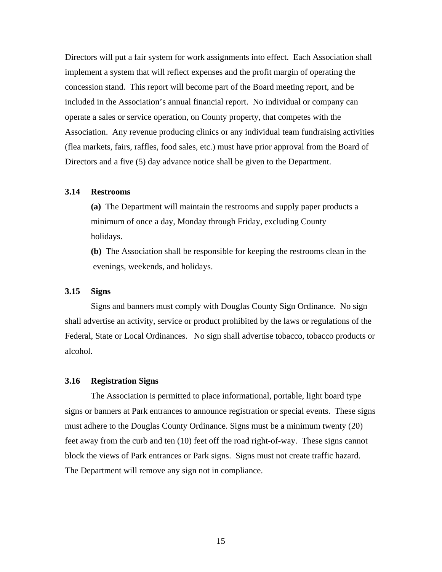Directors will put a fair system for work assignments into effect. Each Association shall implement a system that will reflect expenses and the profit margin of operating the concession stand. This report will become part of the Board meeting report, and be included in the Association's annual financial report. No individual or company can operate a sales or service operation, on County property, that competes with the Association. Any revenue producing clinics or any individual team fundraising activities (flea markets, fairs, raffles, food sales, etc.) must have prior approval from the Board of Directors and a five (5) day advance notice shall be given to the Department.

#### **3.14 Restrooms**

**(a)** The Department will maintain the restrooms and supply paper products a minimum of once a day, Monday through Friday, excluding County holidays.

**(b)** The Association shall be responsible for keeping the restrooms clean in the evenings, weekends, and holidays.

#### **3.15 Signs**

Signs and banners must comply with Douglas County Sign Ordinance. No sign shall advertise an activity, service or product prohibited by the laws or regulations of the Federal, State or Local Ordinances. No sign shall advertise tobacco, tobacco products or alcohol.

#### **3.16 Registration Signs**

The Association is permitted to place informational, portable, light board type signs or banners at Park entrances to announce registration or special events. These signs must adhere to the Douglas County Ordinance. Signs must be a minimum twenty (20) feet away from the curb and ten (10) feet off the road right-of-way. These signs cannot block the views of Park entrances or Park signs. Signs must not create traffic hazard. The Department will remove any sign not in compliance.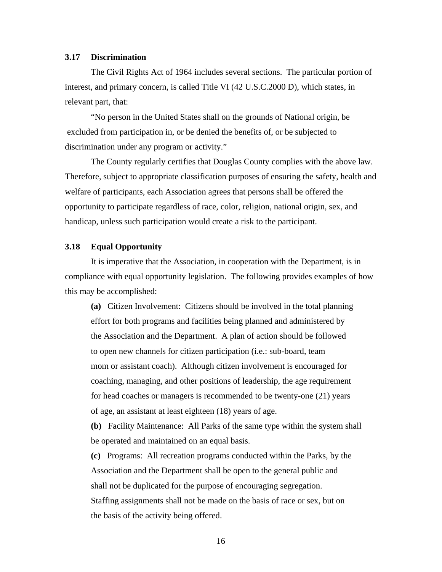#### **3.17 Discrimination**

The Civil Rights Act of 1964 includes several sections. The particular portion of interest, and primary concern, is called Title VI (42 U.S.C.2000 D), which states, in relevant part, that:

"No person in the United States shall on the grounds of National origin, be excluded from participation in, or be denied the benefits of, or be subjected to discrimination under any program or activity."

The County regularly certifies that Douglas County complies with the above law. Therefore, subject to appropriate classification purposes of ensuring the safety, health and welfare of participants, each Association agrees that persons shall be offered the opportunity to participate regardless of race, color, religion, national origin, sex, and handicap, unless such participation would create a risk to the participant.

#### **3.18 Equal Opportunity**

It is imperative that the Association, in cooperation with the Department, is in compliance with equal opportunity legislation. The following provides examples of how this may be accomplished:

 **(a)** Citizen Involvement: Citizens should be involved in the total planning effort for both programs and facilities being planned and administered by the Association and the Department. A plan of action should be followed to open new channels for citizen participation (i.e.: sub-board, team mom or assistant coach). Although citizen involvement is encouraged for coaching, managing, and other positions of leadership, the age requirement for head coaches or managers is recommended to be twenty-one (21) years of age, an assistant at least eighteen (18) years of age.

**(b)** Facility Maintenance: All Parks of the same type within the system shall be operated and maintained on an equal basis.

 **(c)** Programs: All recreation programs conducted within the Parks, by the Association and the Department shall be open to the general public and shall not be duplicated for the purpose of encouraging segregation. Staffing assignments shall not be made on the basis of race or sex, but on the basis of the activity being offered.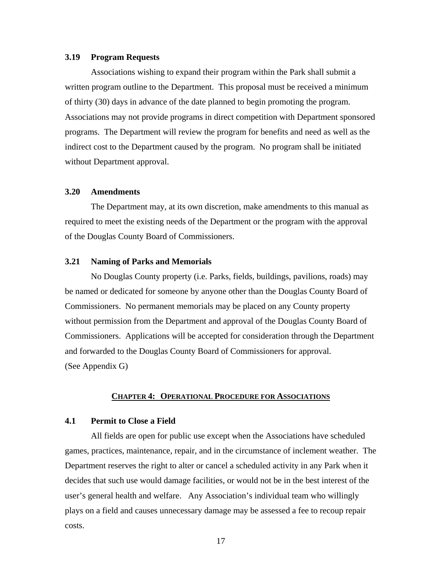#### **3.19 Program Requests**

Associations wishing to expand their program within the Park shall submit a written program outline to the Department. This proposal must be received a minimum of thirty (30) days in advance of the date planned to begin promoting the program. Associations may not provide programs in direct competition with Department sponsored programs. The Department will review the program for benefits and need as well as the indirect cost to the Department caused by the program. No program shall be initiated without Department approval.

## **3.20 Amendments**

The Department may, at its own discretion, make amendments to this manual as required to meet the existing needs of the Department or the program with the approval of the Douglas County Board of Commissioners.

#### **3.21 Naming of Parks and Memorials**

No Douglas County property (i.e. Parks, fields, buildings, pavilions, roads) may be named or dedicated for someone by anyone other than the Douglas County Board of Commissioners. No permanent memorials may be placed on any County property without permission from the Department and approval of the Douglas County Board of Commissioners. Applications will be accepted for consideration through the Department and forwarded to the Douglas County Board of Commissioners for approval. (See Appendix G)

#### **CHAPTER 4: OPERATIONAL PROCEDURE FOR ASSOCIATIONS**

#### **4.1 Permit to Close a Field**

All fields are open for public use except when the Associations have scheduled games, practices, maintenance, repair, and in the circumstance of inclement weather. The Department reserves the right to alter or cancel a scheduled activity in any Park when it decides that such use would damage facilities, or would not be in the best interest of the user's general health and welfare. Any Association's individual team who willingly plays on a field and causes unnecessary damage may be assessed a fee to recoup repair costs.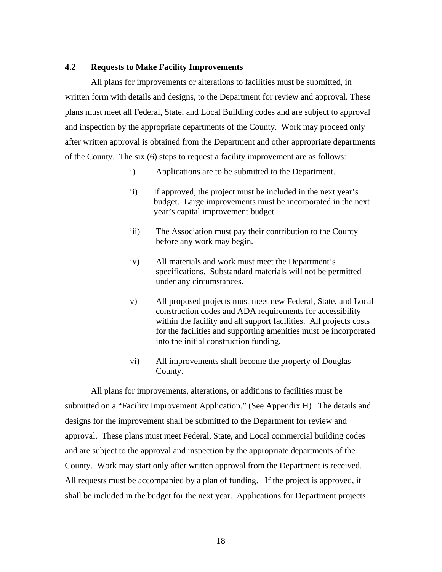#### **4.2 Requests to Make Facility Improvements**

All plans for improvements or alterations to facilities must be submitted, in written form with details and designs, to the Department for review and approval. These plans must meet all Federal, State, and Local Building codes and are subject to approval and inspection by the appropriate departments of the County. Work may proceed only after written approval is obtained from the Department and other appropriate departments of the County. The six (6) steps to request a facility improvement are as follows:

- i) Applications are to be submitted to the Department.
- ii) If approved, the project must be included in the next year's budget. Large improvements must be incorporated in the next year's capital improvement budget.
- iii) The Association must pay their contribution to the County before any work may begin.
- iv) All materials and work must meet the Department's specifications. Substandard materials will not be permitted under any circumstances.
- v) All proposed projects must meet new Federal, State, and Local construction codes and ADA requirements for accessibility within the facility and all support facilities. All projects costs for the facilities and supporting amenities must be incorporated into the initial construction funding.
- vi) All improvements shall become the property of Douglas County.

All plans for improvements, alterations, or additions to facilities must be submitted on a "Facility Improvement Application." (See Appendix H) The details and designs for the improvement shall be submitted to the Department for review and approval. These plans must meet Federal, State, and Local commercial building codes and are subject to the approval and inspection by the appropriate departments of the County. Work may start only after written approval from the Department is received. All requests must be accompanied by a plan of funding. If the project is approved, it shall be included in the budget for the next year. Applications for Department projects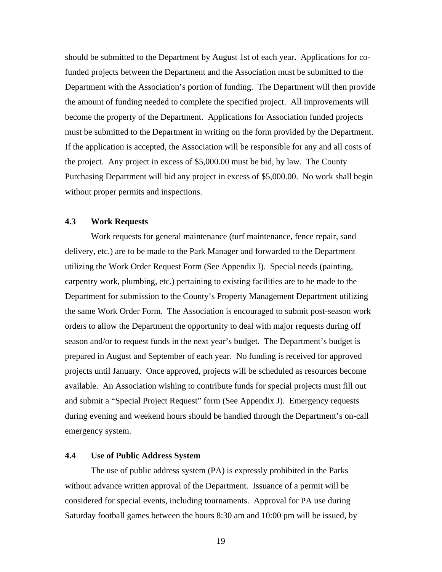should be submitted to the Department by August 1st of each year**.** Applications for cofunded projects between the Department and the Association must be submitted to the Department with the Association's portion of funding. The Department will then provide the amount of funding needed to complete the specified project. All improvements will become the property of the Department. Applications for Association funded projects must be submitted to the Department in writing on the form provided by the Department. If the application is accepted, the Association will be responsible for any and all costs of the project. Any project in excess of \$5,000.00 must be bid, by law. The County Purchasing Department will bid any project in excess of \$5,000.00. No work shall begin without proper permits and inspections.

#### **4.3 Work Requests**

Work requests for general maintenance (turf maintenance, fence repair, sand delivery, etc.) are to be made to the Park Manager and forwarded to the Department utilizing the Work Order Request Form (See Appendix I). Special needs (painting, carpentry work, plumbing, etc.) pertaining to existing facilities are to be made to the Department for submission to the County's Property Management Department utilizing the same Work Order Form. The Association is encouraged to submit post-season work orders to allow the Department the opportunity to deal with major requests during off season and/or to request funds in the next year's budget. The Department's budget is prepared in August and September of each year. No funding is received for approved projects until January. Once approved, projects will be scheduled as resources become available. An Association wishing to contribute funds for special projects must fill out and submit a "Special Project Request" form (See Appendix J). Emergency requests during evening and weekend hours should be handled through the Department's on-call emergency system.

#### **4.4 Use of Public Address System**

The use of public address system (PA) is expressly prohibited in the Parks without advance written approval of the Department. Issuance of a permit will be considered for special events, including tournaments. Approval for PA use during Saturday football games between the hours 8:30 am and 10:00 pm will be issued, by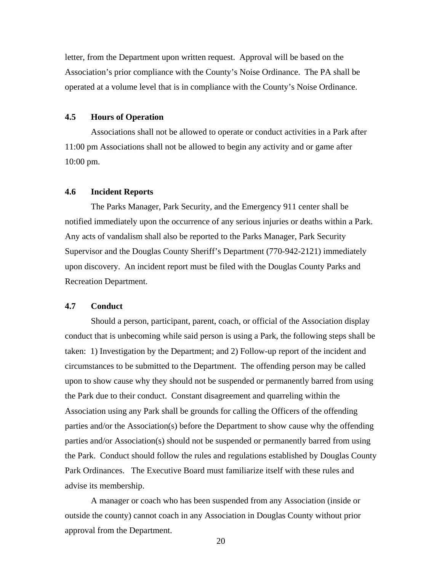letter, from the Department upon written request. Approval will be based on the Association's prior compliance with the County's Noise Ordinance. The PA shall be operated at a volume level that is in compliance with the County's Noise Ordinance.

#### **4.5 Hours of Operation**

Associations shall not be allowed to operate or conduct activities in a Park after 11:00 pm Associations shall not be allowed to begin any activity and or game after 10:00 pm.

#### **4.6 Incident Reports**

The Parks Manager, Park Security, and the Emergency 911 center shall be notified immediately upon the occurrence of any serious injuries or deaths within a Park. Any acts of vandalism shall also be reported to the Parks Manager, Park Security Supervisor and the Douglas County Sheriff's Department (770-942-2121) immediately upon discovery. An incident report must be filed with the Douglas County Parks and Recreation Department.

#### **4.7 Conduct**

Should a person, participant, parent, coach, or official of the Association display conduct that is unbecoming while said person is using a Park, the following steps shall be taken: 1) Investigation by the Department; and 2) Follow-up report of the incident and circumstances to be submitted to the Department. The offending person may be called upon to show cause why they should not be suspended or permanently barred from using the Park due to their conduct. Constant disagreement and quarreling within the Association using any Park shall be grounds for calling the Officers of the offending parties and/or the Association(s) before the Department to show cause why the offending parties and/or Association(s) should not be suspended or permanently barred from using the Park. Conduct should follow the rules and regulations established by Douglas County Park Ordinances. The Executive Board must familiarize itself with these rules and advise its membership.

 A manager or coach who has been suspended from any Association (inside or outside the county) cannot coach in any Association in Douglas County without prior approval from the Department.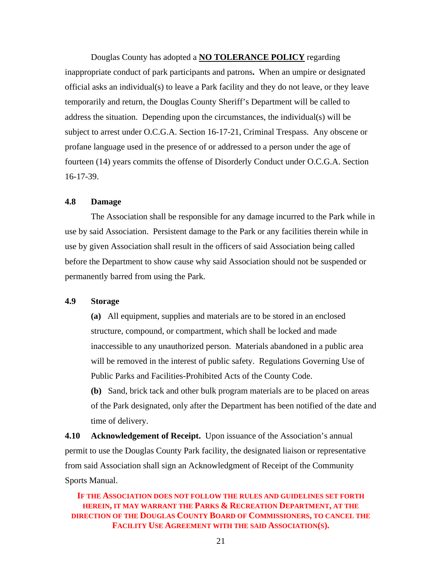Douglas County has adopted a **NO TOLERANCE POLICY** regarding inappropriate conduct of park participants and patrons**.** When an umpire or designated official asks an individual(s) to leave a Park facility and they do not leave, or they leave temporarily and return, the Douglas County Sheriff's Department will be called to address the situation. Depending upon the circumstances, the individual(s) will be subject to arrest under O.C.G.A. Section 16-17-21, Criminal Trespass. Any obscene or profane language used in the presence of or addressed to a person under the age of fourteen (14) years commits the offense of Disorderly Conduct under O.C.G.A. Section 16-17-39.

#### **4.8 Damage**

The Association shall be responsible for any damage incurred to the Park while in use by said Association. Persistent damage to the Park or any facilities therein while in use by given Association shall result in the officers of said Association being called before the Department to show cause why said Association should not be suspended or permanently barred from using the Park.

#### **4.9 Storage**

 **(a)** All equipment, supplies and materials are to be stored in an enclosed structure, compound, or compartment, which shall be locked and made inaccessible to any unauthorized person. Materials abandoned in a public area will be removed in the interest of public safety. Regulations Governing Use of Public Parks and Facilities-Prohibited Acts of the County Code.

**(b)** Sand, brick tack and other bulk program materials are to be placed on areas of the Park designated, only after the Department has been notified of the date and time of delivery.

**4.10 Acknowledgement of Receipt.** Upon issuance of the Association's annual permit to use the Douglas County Park facility, the designated liaison or representative from said Association shall sign an Acknowledgment of Receipt of the Community Sports Manual.

## **IF THE ASSOCIATION DOES NOT FOLLOW THE RULES AND GUIDELINES SET FORTH HEREIN, IT MAY WARRANT THE PARKS & RECREATION DEPARTMENT, AT THE DIRECTION OF THE DOUGLAS COUNTY BOARD OF COMMISSIONERS, TO CANCEL THE FACILITY USE AGREEMENT WITH THE SAID ASSOCIATION(S).**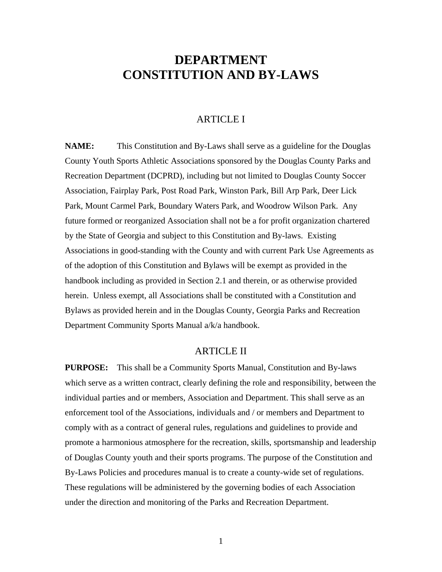# **DEPARTMENT CONSTITUTION AND BY-LAWS**

## ARTICLE I

**NAME:** This Constitution and By-Laws shall serve as a guideline for the Douglas County Youth Sports Athletic Associations sponsored by the Douglas County Parks and Recreation Department (DCPRD), including but not limited to Douglas County Soccer Association, Fairplay Park, Post Road Park, Winston Park, Bill Arp Park, Deer Lick Park, Mount Carmel Park, Boundary Waters Park, and Woodrow Wilson Park. Any future formed or reorganized Association shall not be a for profit organization chartered by the State of Georgia and subject to this Constitution and By-laws. Existing Associations in good-standing with the County and with current Park Use Agreements as of the adoption of this Constitution and Bylaws will be exempt as provided in the handbook including as provided in Section 2.1 and therein, or as otherwise provided herein. Unless exempt, all Associations shall be constituted with a Constitution and Bylaws as provided herein and in the Douglas County, Georgia Parks and Recreation Department Community Sports Manual a/k/a handbook.

### ARTICLE II

**PURPOSE:** This shall be a Community Sports Manual, Constitution and By-laws which serve as a written contract, clearly defining the role and responsibility, between the individual parties and or members, Association and Department. This shall serve as an enforcement tool of the Associations, individuals and / or members and Department to comply with as a contract of general rules, regulations and guidelines to provide and promote a harmonious atmosphere for the recreation, skills, sportsmanship and leadership of Douglas County youth and their sports programs. The purpose of the Constitution and By-Laws Policies and procedures manual is to create a county-wide set of regulations. These regulations will be administered by the governing bodies of each Association under the direction and monitoring of the Parks and Recreation Department.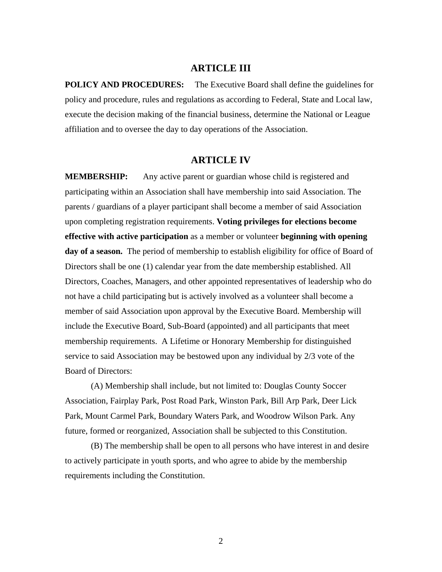### **ARTICLE III**

**POLICY AND PROCEDURES:** The Executive Board shall define the guidelines for policy and procedure, rules and regulations as according to Federal, State and Local law, execute the decision making of the financial business, determine the National or League affiliation and to oversee the day to day operations of the Association.

## **ARTICLE IV**

**MEMBERSHIP:** Any active parent or guardian whose child is registered and participating within an Association shall have membership into said Association. The parents / guardians of a player participant shall become a member of said Association upon completing registration requirements. **Voting privileges for elections become effective with active participation** as a member or volunteer **beginning with opening**  day of a season. The period of membership to establish eligibility for office of Board of Directors shall be one (1) calendar year from the date membership established. All Directors, Coaches, Managers, and other appointed representatives of leadership who do not have a child participating but is actively involved as a volunteer shall become a member of said Association upon approval by the Executive Board. Membership will include the Executive Board, Sub-Board (appointed) and all participants that meet membership requirements. A Lifetime or Honorary Membership for distinguished service to said Association may be bestowed upon any individual by 2/3 vote of the Board of Directors:

 (A) Membership shall include, but not limited to: Douglas County Soccer Association, Fairplay Park, Post Road Park, Winston Park, Bill Arp Park, Deer Lick Park, Mount Carmel Park, Boundary Waters Park, and Woodrow Wilson Park. Any future, formed or reorganized, Association shall be subjected to this Constitution.

 (B) The membership shall be open to all persons who have interest in and desire to actively participate in youth sports, and who agree to abide by the membership requirements including the Constitution.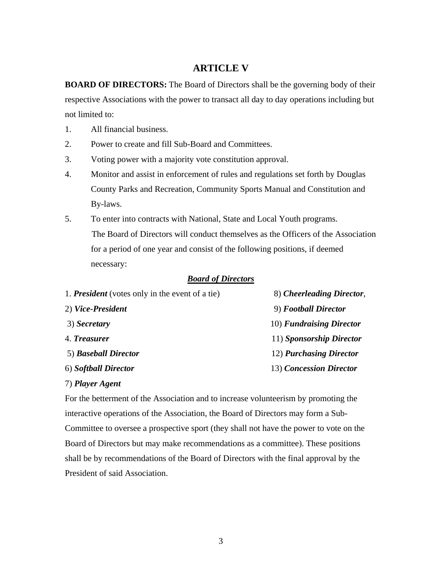# **ARTICLE V**

**BOARD OF DIRECTORS:** The Board of Directors shall be the governing body of their respective Associations with the power to transact all day to day operations including but not limited to:

- 1. All financial business.
- 2. Power to create and fill Sub-Board and Committees.
- 3. Voting power with a majority vote constitution approval.
- 4. Monitor and assist in enforcement of rules and regulations set forth by Douglas County Parks and Recreation, Community Sports Manual and Constitution and By-laws.
- 5. To enter into contracts with National, State and Local Youth programs. The Board of Directors will conduct themselves as the Officers of the Association for a period of one year and consist of the following positions, if deemed necessary:

#### *Board of Directors*

| 8) Cheerleading Director, |
|---------------------------|
| 9) Football Director      |
| 10) Fundraising Director  |
| 11) Sponsorship Director  |
| 12) Purchasing Director   |
| 13) Concession Director   |
|                           |

#### 7) *Player Agent*

For the betterment of the Association and to increase volunteerism by promoting the interactive operations of the Association, the Board of Directors may form a Sub-Committee to oversee a prospective sport (they shall not have the power to vote on the Board of Directors but may make recommendations as a committee). These positions shall be by recommendations of the Board of Directors with the final approval by the President of said Association.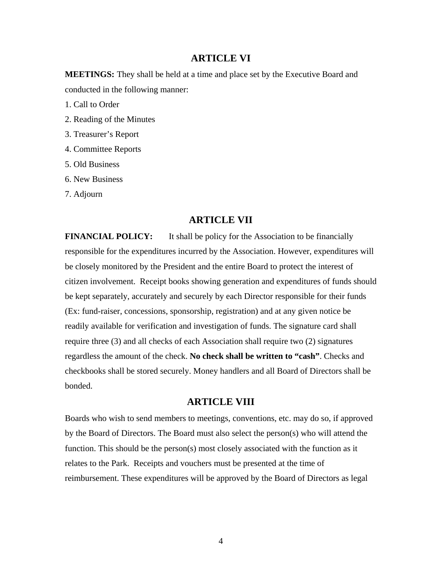## **ARTICLE VI**

**MEETINGS:** They shall be held at a time and place set by the Executive Board and conducted in the following manner:

1. Call to Order

- 2. Reading of the Minutes
- 3. Treasurer's Report
- 4. Committee Reports
- 5. Old Business
- 6. New Business

7. Adjourn

# **ARTICLE VII**

**FINANCIAL POLICY:** It shall be policy for the Association to be financially responsible for the expenditures incurred by the Association. However, expenditures will be closely monitored by the President and the entire Board to protect the interest of citizen involvement. Receipt books showing generation and expenditures of funds should be kept separately, accurately and securely by each Director responsible for their funds (Ex: fund-raiser, concessions, sponsorship, registration) and at any given notice be readily available for verification and investigation of funds. The signature card shall require three (3) and all checks of each Association shall require two (2) signatures regardless the amount of the check. **No check shall be written to "cash"**. Checks and checkbooks shall be stored securely. Money handlers and all Board of Directors shall be bonded.

# **ARTICLE VIII**

Boards who wish to send members to meetings, conventions, etc. may do so, if approved by the Board of Directors. The Board must also select the person(s) who will attend the function. This should be the person(s) most closely associated with the function as it relates to the Park. Receipts and vouchers must be presented at the time of reimbursement. These expenditures will be approved by the Board of Directors as legal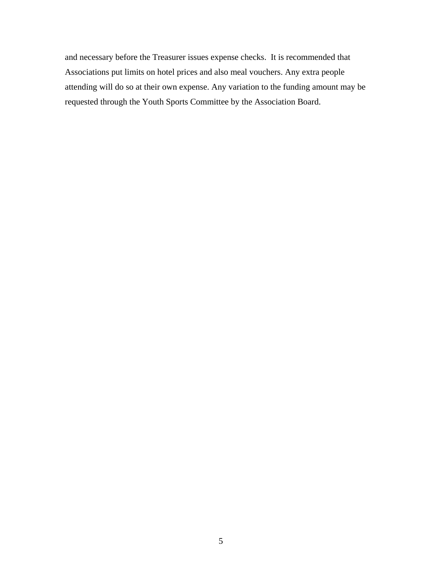and necessary before the Treasurer issues expense checks. It is recommended that Associations put limits on hotel prices and also meal vouchers. Any extra people attending will do so at their own expense. Any variation to the funding amount may be requested through the Youth Sports Committee by the Association Board.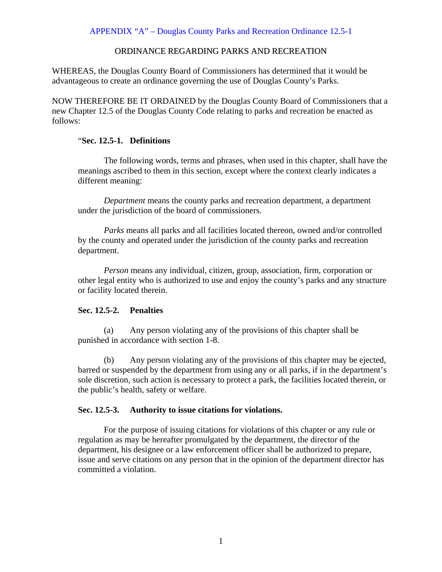APPENDIX "A" – Douglas County Parks and Recreation Ordinance 12.5-1

## ORDINANCE REGARDING PARKS AND RECREATION

WHEREAS, the Douglas County Board of Commissioners has determined that it would be advantageous to create an ordinance governing the use of Douglas County's Parks.

NOW THEREFORE BE IT ORDAINED by the Douglas County Board of Commissioners that a new Chapter 12.5 of the Douglas County Code relating to parks and recreation be enacted as follows:

## "**Sec. 12.5-1. Definitions**

 The following words, terms and phrases, when used in this chapter, shall have the meanings ascribed to them in this section, except where the context clearly indicates a different meaning:

*Department* means the county parks and recreation department, a department under the jurisdiction of the board of commissioners.

*Parks* means all parks and all facilities located thereon, owned and/or controlled by the county and operated under the jurisdiction of the county parks and recreation department.

*Person* means any individual, citizen, group, association, firm, corporation or other legal entity who is authorized to use and enjoy the county's parks and any structure or facility located therein.

## **Sec. 12.5-2. Penalties**

(a) Any person violating any of the provisions of this chapter shall be punished in accordance with section 1-8.

(b) Any person violating any of the provisions of this chapter may be ejected, barred or suspended by the department from using any or all parks, if in the department's sole discretion, such action is necessary to protect a park, the facilities located therein, or the public's health, safety or welfare.

### **Sec. 12.5-3. Authority to issue citations for violations.**

 For the purpose of issuing citations for violations of this chapter or any rule or regulation as may be hereafter promulgated by the department, the director of the department, his designee or a law enforcement officer shall be authorized to prepare, issue and serve citations on any person that in the opinion of the department director has committed a violation.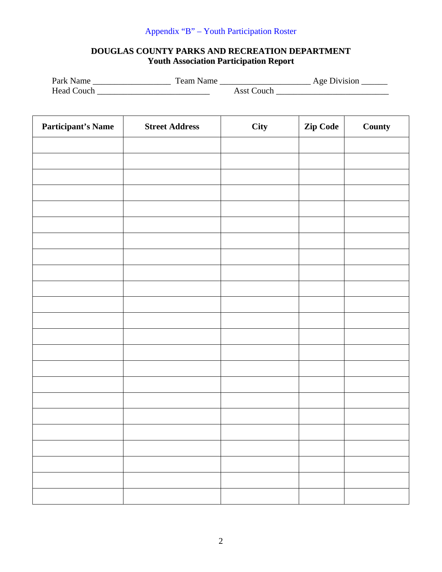# Appendix "B" – Youth Participation Roster

# **DOUGLAS COUNTY PARKS AND RECREATION DEPARTMENT Youth Association Participation Report**

| Park Name         | Team Name |            | Age Division |
|-------------------|-----------|------------|--------------|
| <b>Head Couch</b> |           | Asst Couch |              |

| <b>Participant's Name</b> | <b>Street Address</b> | City | Zip Code | County |
|---------------------------|-----------------------|------|----------|--------|
|                           |                       |      |          |        |
|                           |                       |      |          |        |
|                           |                       |      |          |        |
|                           |                       |      |          |        |
|                           |                       |      |          |        |
|                           |                       |      |          |        |
|                           |                       |      |          |        |
|                           |                       |      |          |        |
|                           |                       |      |          |        |
|                           |                       |      |          |        |
|                           |                       |      |          |        |
|                           |                       |      |          |        |
|                           |                       |      |          |        |
|                           |                       |      |          |        |
|                           |                       |      |          |        |
|                           |                       |      |          |        |
|                           |                       |      |          |        |
|                           |                       |      |          |        |
|                           |                       |      |          |        |
|                           |                       |      |          |        |
|                           |                       |      |          |        |
|                           |                       |      |          |        |
|                           |                       |      |          |        |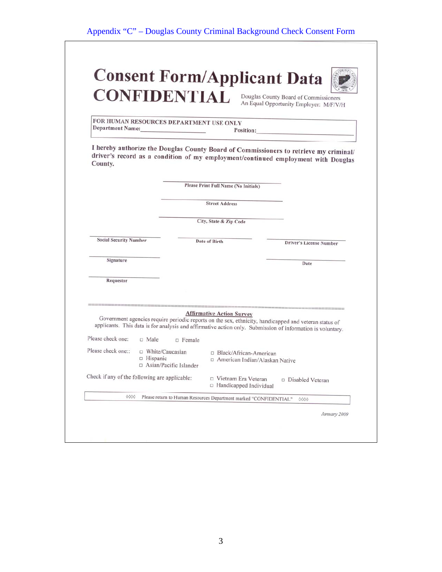| <b>Consent Form/Applicant Data</b> |                                                                                 |
|------------------------------------|---------------------------------------------------------------------------------|
| <b>CONFIDENTIAL</b>                | Douglas County Board of Commissioners<br>An Equal Opportunity Employer: M/F/V/H |



FOR HUMAN RESOURCES DEPARTMENT USE ONLY Department Name: Position:

I hereby authorize the Douglas County Board of Commissioners to retrieve my criminal/ diversy authorize the boughts County Board of Commissioners to retrieve my criminal/<br>driver's record as a condition of my employment/continued employment with Douglas County.

|                                                                     |                                 |                        | Please Print Full Name (No Initials)                         |                                                                                                                                                                                                                     |
|---------------------------------------------------------------------|---------------------------------|------------------------|--------------------------------------------------------------|---------------------------------------------------------------------------------------------------------------------------------------------------------------------------------------------------------------------|
|                                                                     |                                 |                        | <b>Street Address</b>                                        |                                                                                                                                                                                                                     |
|                                                                     |                                 |                        | City, State & Zip Code                                       |                                                                                                                                                                                                                     |
| <b>Social Security Number</b>                                       |                                 | Date of Birth          |                                                              | <b>Driver's License Number</b>                                                                                                                                                                                      |
| Signature                                                           |                                 |                        |                                                              | Date                                                                                                                                                                                                                |
|                                                                     |                                 |                        |                                                              |                                                                                                                                                                                                                     |
| Requestor                                                           |                                 |                        |                                                              |                                                                                                                                                                                                                     |
|                                                                     |                                 |                        | <b>Affirmative Action Survey</b>                             | Government agencies require periodic reports on the sex, ethnicity, handicapped and veteran status of<br>applicants. This data is for analysis and affirmative action only. Submission of information is voluntary. |
| Please check one:                                                   | $\Box$ Male                     | $\square$ Female       |                                                              |                                                                                                                                                                                                                     |
|                                                                     | □ White/Caucasian<br>□ Hispanic | Asian/Pacific Islander | □ Black/African-American<br>□ American Indian/Alaskan Native |                                                                                                                                                                                                                     |
| Please check one::<br>Check if any of the following are applicable: |                                 |                        | D Vietnam Era Veteran<br>□ Handicapped Individual            | □ Disabled Veteran                                                                                                                                                                                                  |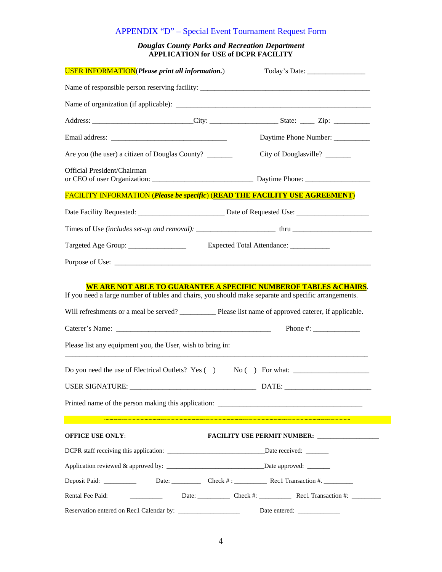# APPENDIX "D" – Special Event Tournament Request Form

#### *Douglas County Parks and Recreation Department*  **APPLICATION for USE of DCPR FACILITY**

| <b>USER INFORMATION</b> (Please print all information.)                                                                                                                                                                     |                                                  |
|-----------------------------------------------------------------------------------------------------------------------------------------------------------------------------------------------------------------------------|--------------------------------------------------|
|                                                                                                                                                                                                                             |                                                  |
|                                                                                                                                                                                                                             |                                                  |
|                                                                                                                                                                                                                             |                                                  |
|                                                                                                                                                                                                                             | Daytime Phone Number: __________                 |
| Are you (the user) a citizen of Douglas County? _______                                                                                                                                                                     | City of Douglasville?                            |
| Official President/Chairman                                                                                                                                                                                                 |                                                  |
| <b>FACILITY INFORMATION (Please be specific) (READ THE FACILITY USE AGREEMENT)</b>                                                                                                                                          |                                                  |
|                                                                                                                                                                                                                             |                                                  |
|                                                                                                                                                                                                                             |                                                  |
| Targeted Age Group: ________________                                                                                                                                                                                        | Expected Total Attendance: ___________           |
|                                                                                                                                                                                                                             |                                                  |
| Will refreshments or a meal be served? ____________ Please list name of approved caterer, if applicable.<br>Please list any equipment you, the User, wish to bring in:<br>Do you need the use of Electrical Outlets? Yes () | Phone $\#$ :                                     |
| USER SIGNATURE:                                                                                                                                                                                                             | DATE: _                                          |
|                                                                                                                                                                                                                             |                                                  |
|                                                                                                                                                                                                                             |                                                  |
| <b>OFFICE USE ONLY:</b>                                                                                                                                                                                                     | FACILITY USE PERMIT NUMBER: ____________________ |
|                                                                                                                                                                                                                             |                                                  |
|                                                                                                                                                                                                                             |                                                  |
| Deposit Paid: Date: Date: Check #: Rec1 Transaction #.                                                                                                                                                                      |                                                  |
| Rental Fee Paid:                                                                                                                                                                                                            | Date: Check #: Rec1 Transaction #: ________      |
|                                                                                                                                                                                                                             |                                                  |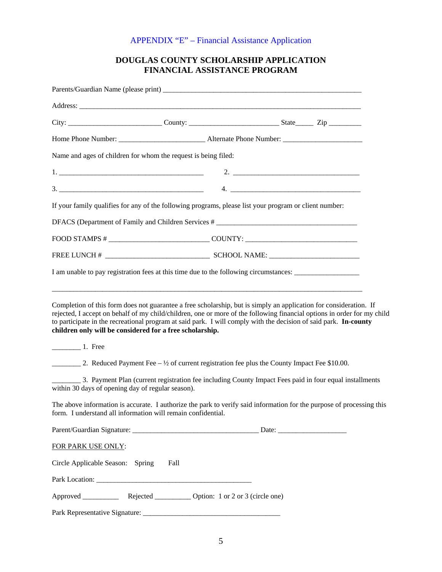# APPENDIX "E" – Financial Assistance Application

# **DOUGLAS COUNTY SCHOLARSHIP APPLICATION FINANCIAL ASSISTANCE PROGRAM**

| Name and ages of children for whom the request is being filed:                                                                                                                                                                                                                                                                                     |                                                                                                        |  |
|----------------------------------------------------------------------------------------------------------------------------------------------------------------------------------------------------------------------------------------------------------------------------------------------------------------------------------------------------|--------------------------------------------------------------------------------------------------------|--|
|                                                                                                                                                                                                                                                                                                                                                    |                                                                                                        |  |
|                                                                                                                                                                                                                                                                                                                                                    |                                                                                                        |  |
| If your family qualifies for any of the following programs, please list your program or client number:                                                                                                                                                                                                                                             |                                                                                                        |  |
| DFACS (Department of Family and Children Services # _____________________________                                                                                                                                                                                                                                                                  |                                                                                                        |  |
|                                                                                                                                                                                                                                                                                                                                                    |                                                                                                        |  |
|                                                                                                                                                                                                                                                                                                                                                    |                                                                                                        |  |
| I am unable to pay registration fees at this time due to the following circumstances:                                                                                                                                                                                                                                                              |                                                                                                        |  |
| rejected, I accept on behalf of my child/children, one or more of the following financial options in order for my child<br>to participate in the recreational program at said park. I will comply with the decision of said park. In-county<br>children only will be considered for a free scholarship.<br>$\frac{1}{\sqrt{1-\frac{1}{2}}}\n$ Free |                                                                                                        |  |
|                                                                                                                                                                                                                                                                                                                                                    |                                                                                                        |  |
| 2. Reduced Payment Fee $-$ 1/2 of current registration fee plus the County Impact Fee \$10.00.                                                                                                                                                                                                                                                     |                                                                                                        |  |
| within 30 days of opening day of regular season).                                                                                                                                                                                                                                                                                                  | 3. Payment Plan (current registration fee including County Impact Fees paid in four equal installments |  |
| The above information is accurate. I authorize the park to verify said information for the purpose of processing this<br>form. I understand all information will remain confidential.                                                                                                                                                              |                                                                                                        |  |
|                                                                                                                                                                                                                                                                                                                                                    |                                                                                                        |  |
| FOR PARK USE ONLY:                                                                                                                                                                                                                                                                                                                                 |                                                                                                        |  |
| Circle Applicable Season: Spring                                                                                                                                                                                                                                                                                                                   | Fall                                                                                                   |  |
|                                                                                                                                                                                                                                                                                                                                                    |                                                                                                        |  |
| Approved Rejected Option: 1 or 2 or 3 (circle one)                                                                                                                                                                                                                                                                                                 |                                                                                                        |  |

Park Representative Signature: \_\_\_\_\_\_\_\_\_\_\_\_\_\_\_\_\_\_\_\_\_\_\_\_\_\_\_\_\_\_\_\_\_\_\_\_\_\_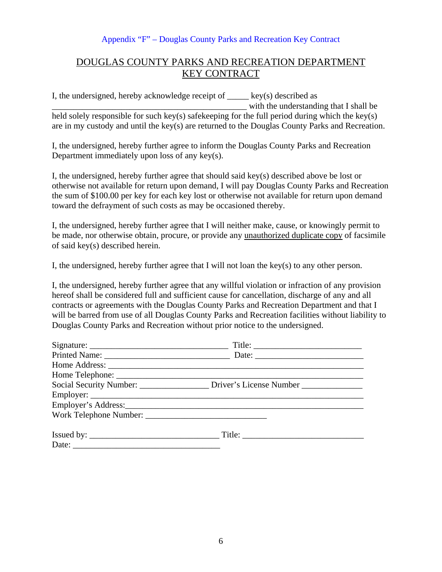## Appendix "F" – Douglas County Parks and Recreation Key Contract

# DOUGLAS COUNTY PARKS AND RECREATION DEPARTMENT KEY CONTRACT

I, the undersigned, hereby acknowledge receipt of  $\qquad \qquad$  key(s) described as with the understanding that I shall be held solely responsible for such key(s) safekeeping for the full period during which the key(s) are in my custody and until the key(s) are returned to the Douglas County Parks and Recreation.

I, the undersigned, hereby further agree to inform the Douglas County Parks and Recreation Department immediately upon loss of any key(s).

I, the undersigned, hereby further agree that should said key(s) described above be lost or otherwise not available for return upon demand, I will pay Douglas County Parks and Recreation the sum of \$100.00 per key for each key lost or otherwise not available for return upon demand toward the defrayment of such costs as may be occasioned thereby.

I, the undersigned, hereby further agree that I will neither make, cause, or knowingly permit to be made, nor otherwise obtain, procure, or provide any unauthorized duplicate copy of facsimile of said key(s) described herein.

I, the undersigned, hereby further agree that I will not loan the key(s) to any other person.

I, the undersigned, hereby further agree that any willful violation or infraction of any provision hereof shall be considered full and sufficient cause for cancellation, discharge of any and all contracts or agreements with the Douglas County Parks and Recreation Department and that I will be barred from use of all Douglas County Parks and Recreation facilities without liability to Douglas County Parks and Recreation without prior notice to the undersigned.

|       | Title: $\qquad \qquad$                                                     |
|-------|----------------------------------------------------------------------------|
|       |                                                                            |
|       |                                                                            |
|       |                                                                            |
|       | Social Security Number: ______________ Driver's License Number ___________ |
|       |                                                                            |
|       |                                                                            |
|       |                                                                            |
|       |                                                                            |
| Date: |                                                                            |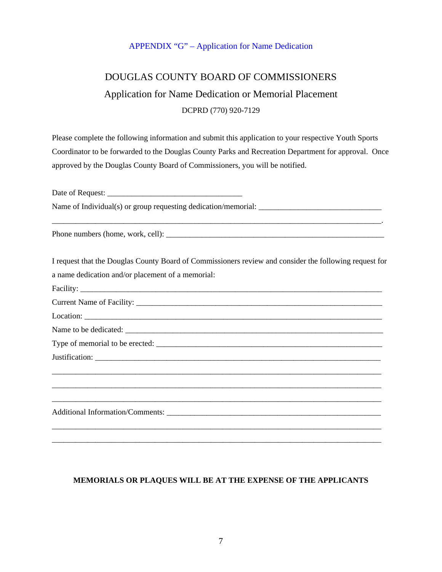## APPENDIX "G" – Application for Name Dedication

# DOUGLAS COUNTY BOARD OF COMMISSIONERS Application for Name Dedication or Memorial Placement DCPRD (770) 920-7129

Please complete the following information and submit this application to your respective Youth Sports Coordinator to be forwarded to the Douglas County Parks and Recreation Department for approval. Once approved by the Douglas County Board of Commissioners, you will be notified.

Date of Request: \_\_\_\_\_\_\_\_\_\_\_\_\_\_\_\_\_\_\_\_\_\_\_\_\_\_\_\_\_\_\_\_\_\_

Name of Individual(s) or group requesting dedication/memorial: \_\_\_\_\_\_\_\_\_\_\_\_\_\_\_\_\_\_\_\_\_\_\_\_\_\_\_\_\_\_\_

Phone numbers (home, work, cell): \_\_\_\_\_\_\_\_\_\_\_\_\_\_\_\_\_\_\_\_\_\_\_\_\_\_\_\_\_\_\_\_\_\_\_\_\_\_\_\_\_\_\_\_\_\_\_\_\_\_\_\_\_\_\_

I request that the Douglas County Board of Commissioners review and consider the following request for a name dedication and/or placement of a memorial:

\_\_\_\_\_\_\_\_\_\_\_\_\_\_\_\_\_\_\_\_\_\_\_\_\_\_\_\_\_\_\_\_\_\_\_\_\_\_\_\_\_\_\_\_\_\_\_\_\_\_\_\_\_\_\_\_\_\_\_\_\_\_\_\_\_\_\_\_\_\_\_\_\_\_\_\_\_\_\_\_\_\_\_.

Facility: \_\_\_\_\_\_\_\_\_\_\_\_\_\_\_\_\_\_\_\_\_\_\_\_\_\_\_\_\_\_\_\_\_\_\_\_\_\_\_\_\_\_\_\_\_\_\_\_\_\_\_\_\_\_\_\_\_\_\_\_\_\_\_\_\_\_\_\_\_\_\_\_\_\_\_\_ Current Name of Facility: Location: \_\_\_\_\_\_\_\_\_\_\_\_\_\_\_\_\_\_\_\_\_\_\_\_\_\_\_\_\_\_\_\_\_\_\_\_\_\_\_\_\_\_\_\_\_\_\_\_\_\_\_\_\_\_\_\_\_\_\_\_\_\_\_\_\_\_\_\_\_\_\_\_\_\_\_ Name to be dedicated: \_\_\_\_\_\_\_\_\_\_\_\_\_\_\_\_\_\_\_\_\_\_\_\_\_\_\_\_\_\_\_\_\_\_\_\_\_\_\_\_\_\_\_\_\_\_\_\_\_\_\_\_\_\_\_\_\_\_\_\_\_\_\_\_\_ Type of memorial to be erected: \_\_\_\_\_\_\_\_\_\_\_\_\_\_\_\_\_\_\_\_\_\_\_\_\_\_\_\_\_\_\_\_\_\_\_\_\_\_\_\_\_\_\_\_\_\_\_\_\_\_\_\_\_\_\_\_\_ Justification: \_\_\_\_\_\_\_\_\_\_\_\_\_\_\_\_\_\_\_\_\_\_\_\_\_\_\_\_\_\_\_\_\_\_\_\_\_\_\_\_\_\_\_\_\_\_\_\_\_\_\_\_\_\_\_\_\_\_\_\_\_\_\_\_\_\_\_\_\_\_\_\_\_\_\_\_\_\_\_\_\_\_\_ \_\_\_\_\_\_\_\_\_\_\_\_\_\_\_\_\_\_\_\_\_\_\_\_\_\_\_\_\_\_\_\_\_\_\_\_\_\_\_\_\_\_\_\_\_\_\_\_\_\_\_\_\_\_\_\_\_\_\_\_\_\_\_\_\_\_\_\_\_\_\_\_\_\_\_\_\_\_\_\_\_\_\_ \_\_\_\_\_\_\_\_\_\_\_\_\_\_\_\_\_\_\_\_\_\_\_\_\_\_\_\_\_\_\_\_\_\_\_\_\_\_\_\_\_\_\_\_\_\_\_\_\_\_\_\_\_\_\_\_\_\_\_\_\_\_\_\_\_\_\_\_\_\_\_\_\_\_\_\_\_\_\_\_\_\_\_ Additional Information/Comments: \_\_\_\_\_\_\_\_\_\_\_\_\_\_\_\_\_\_\_\_\_\_\_\_\_\_\_\_\_\_\_\_\_\_\_\_\_\_\_\_\_\_\_\_\_\_\_\_\_\_\_\_\_\_ \_\_\_\_\_\_\_\_\_\_\_\_\_\_\_\_\_\_\_\_\_\_\_\_\_\_\_\_\_\_\_\_\_\_\_\_\_\_\_\_\_\_\_\_\_\_\_\_\_\_\_\_\_\_\_\_\_\_\_\_\_\_\_\_\_\_\_\_\_\_\_\_\_\_\_\_\_\_\_\_\_\_\_

## **MEMORIALS OR PLAQUES WILL BE AT THE EXPENSE OF THE APPLICANTS**

\_\_\_\_\_\_\_\_\_\_\_\_\_\_\_\_\_\_\_\_\_\_\_\_\_\_\_\_\_\_\_\_\_\_\_\_\_\_\_\_\_\_\_\_\_\_\_\_\_\_\_\_\_\_\_\_\_\_\_\_\_\_\_\_\_\_\_\_\_\_\_\_\_\_\_\_\_\_\_\_\_\_\_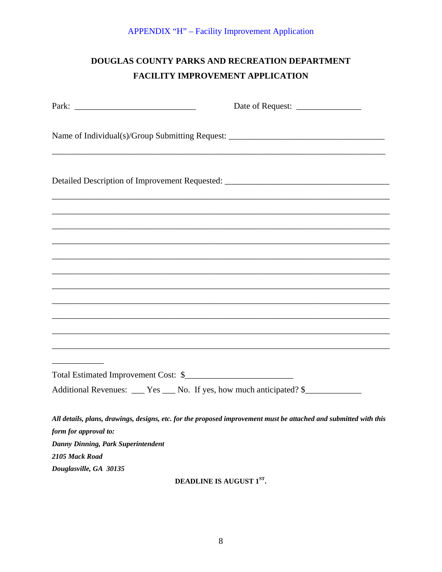# DOUGLAS COUNTY PARKS AND RECREATION DEPARTMENT FACILITY IMPROVEMENT APPLICATION

|                                                                                                                                                                        | Date of Request:                                                                                                     |
|------------------------------------------------------------------------------------------------------------------------------------------------------------------------|----------------------------------------------------------------------------------------------------------------------|
| Name of Individual(s)/Group Submitting Request: _________________________________                                                                                      | <u> 1980 - Jan James James James James James James James James James James James James James James James James J</u> |
| Detailed Description of Improvement Requested: __________________________________<br>,我们也不能在这里的时候,我们也不能在这里的时候,我们也不能会在这里的时候,我们也不能会在这里的时候,我们也不能会在这里的时候,我们也不能会在这里的时候,我们也不 |                                                                                                                      |
|                                                                                                                                                                        |                                                                                                                      |
|                                                                                                                                                                        |                                                                                                                      |
| <u> 1980 - Johann Stoff, deutscher Stoff, der Stoff, der Stoff, der Stoff, der Stoff, der Stoff, der Stoff, der S</u>                                                  |                                                                                                                      |
|                                                                                                                                                                        |                                                                                                                      |
|                                                                                                                                                                        |                                                                                                                      |
|                                                                                                                                                                        |                                                                                                                      |
|                                                                                                                                                                        | ,我们也不能在这里的时候,我们也不能在这里的时候,我们也不能会在这里的时候,我们也不能会在这里的时候,我们也不能会在这里的时候,我们也不能会在这里的时候,我们也不                                    |
|                                                                                                                                                                        |                                                                                                                      |
| ,我们也不能在这里的时候,我们也不能在这里的时候,我们也不能不能不能不能不能不能不能不能不能不能不能不能不能不能不能。""我们的是我们的,我们也不能不能不能不能                                                                                       |                                                                                                                      |
| ,我们也不能在这里的时候,我们也不能在这里的时候,我们也不能会在这里的时候,我们也不能会在这里的时候,我们也不能会在这里的时候,我们也不能会在这里的时候,我们也不                                                                                      |                                                                                                                      |
|                                                                                                                                                                        |                                                                                                                      |
|                                                                                                                                                                        |                                                                                                                      |
| Additional Revenues: ___ Yes ___ No. If yes, how much anticipated? \$____________                                                                                      |                                                                                                                      |
| All details, plans, drawings, designs, etc. for the proposed improvement must be attached and submitted with this<br>form for approval to:                             |                                                                                                                      |
| Danny Dinning, Park Superintendent                                                                                                                                     |                                                                                                                      |
| 2105 Mack Road                                                                                                                                                         |                                                                                                                      |
| Douglasville, GA 30135                                                                                                                                                 |                                                                                                                      |

DEADLINE IS AUGUST 1ST.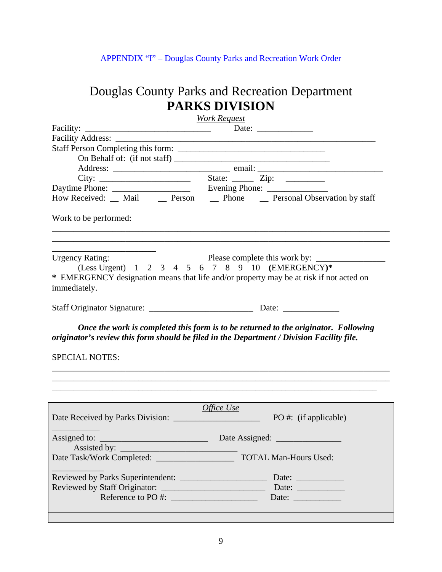APPENDIX "I" – Douglas County Parks and Recreation Work Order

# Douglas County Parks and Recreation Department **PARKS DIVISION**

|                                                                                                                                                                                                                               | <b>Work Request</b>                                                                                                                                                              |
|-------------------------------------------------------------------------------------------------------------------------------------------------------------------------------------------------------------------------------|----------------------------------------------------------------------------------------------------------------------------------------------------------------------------------|
| Facility:                                                                                                                                                                                                                     |                                                                                                                                                                                  |
|                                                                                                                                                                                                                               |                                                                                                                                                                                  |
|                                                                                                                                                                                                                               |                                                                                                                                                                                  |
|                                                                                                                                                                                                                               |                                                                                                                                                                                  |
|                                                                                                                                                                                                                               |                                                                                                                                                                                  |
|                                                                                                                                                                                                                               |                                                                                                                                                                                  |
| City: City: State: Zip: City: City: City: City: City: City: City: City: City: City: City: City: City: City: City: City: City: City: City: City: City: City: City: City: City: City: City: City: City: City: City: City: City: |                                                                                                                                                                                  |
|                                                                                                                                                                                                                               | How Received: __ Mail __ Person __ Phone __ Personal Observation by staff                                                                                                        |
| Work to be performed:                                                                                                                                                                                                         |                                                                                                                                                                                  |
| <b>Urgency Rating:</b>                                                                                                                                                                                                        |                                                                                                                                                                                  |
|                                                                                                                                                                                                                               | (Less Urgent) $1 \t2 \t3 \t4 \t5 \t6 \t7 \t8 \t9 \t10 \t (EMERGENCY)*$                                                                                                           |
| immediately.                                                                                                                                                                                                                  | * EMERGENCY designation means that life and/or property may be at risk if not acted on                                                                                           |
|                                                                                                                                                                                                                               |                                                                                                                                                                                  |
|                                                                                                                                                                                                                               | Once the work is completed this form is to be returned to the originator. Following<br>originator's review this form should be filed in the Department / Division Facility file. |
| <b>SPECIAL NOTES:</b>                                                                                                                                                                                                         |                                                                                                                                                                                  |
|                                                                                                                                                                                                                               |                                                                                                                                                                                  |
|                                                                                                                                                                                                                               |                                                                                                                                                                                  |
|                                                                                                                                                                                                                               | Office Use                                                                                                                                                                       |
| Assigned to:                                                                                                                                                                                                                  | Date Assigned:                                                                                                                                                                   |
|                                                                                                                                                                                                                               |                                                                                                                                                                                  |
|                                                                                                                                                                                                                               | Date: $\frac{1}{\sqrt{1-\frac{1}{2}}\cdot\frac{1}{\sqrt{1-\frac{1}{2}}}}$                                                                                                        |
|                                                                                                                                                                                                                               | Date:                                                                                                                                                                            |
| Reference to PO #:                                                                                                                                                                                                            |                                                                                                                                                                                  |
|                                                                                                                                                                                                                               |                                                                                                                                                                                  |
|                                                                                                                                                                                                                               |                                                                                                                                                                                  |